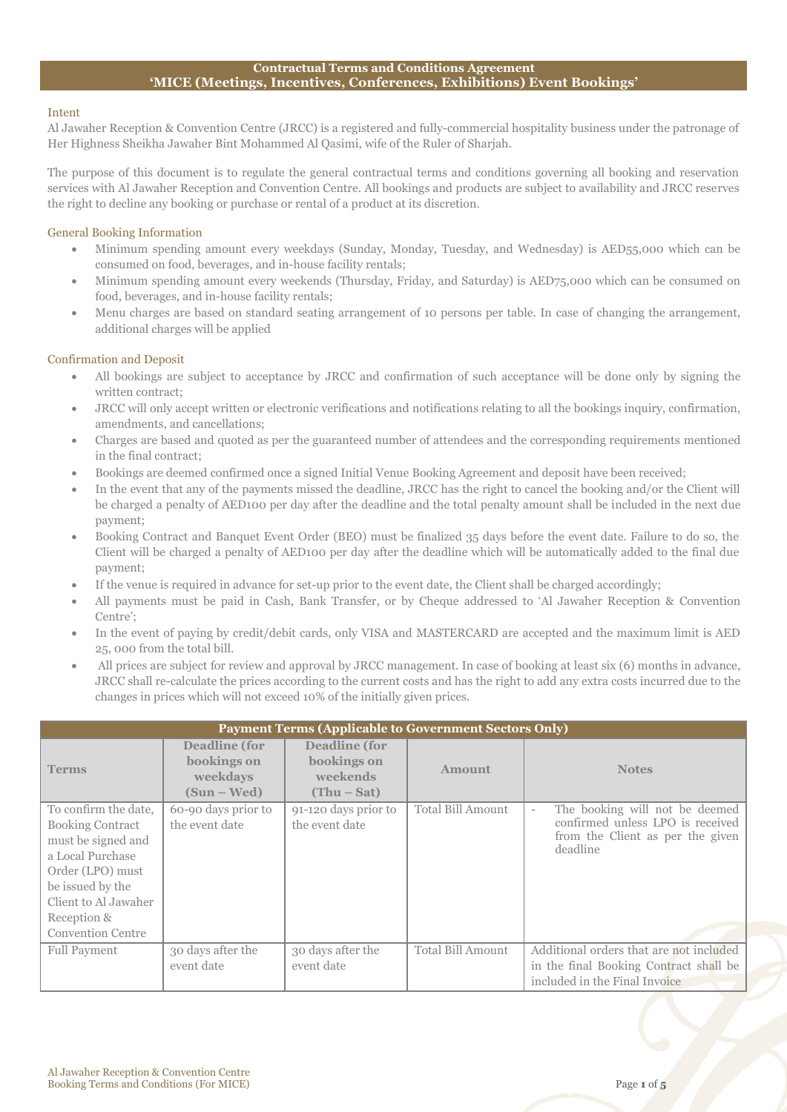## **Contractual Terms and Conditions Agreement 'MICE (Meetings, Incentives, Conferences, Exhibitions) Event Bookings'**

## Intent

Al Jawaher Reception & Convention Centre (JRCC) is a registered and fully-commercial hospitality business under the patronage of Her Highness Sheikha Jawaher Bint Mohammed Al Qasimi, wife of the Ruler of Sharjah.

The purpose of this document is to regulate the general contractual terms and conditions governing all booking and reservation services with Al Jawaher Reception and Convention Centre. All bookings and products are subject to availability and JRCC reserves the right to decline any booking or purchase or rental of a product at its discretion.

## General Booking Information

- Minimum spending amount every weekdays (Sunday, Monday, Tuesday, and Wednesday) is AED55,000 which can be consumed on food, beverages, and in-house facility rentals;
- Minimum spending amount every weekends (Thursday, Friday, and Saturday) is AED75,000 which can be consumed on food, beverages, and in-house facility rentals;
- Menu charges are based on standard seating arrangement of 10 persons per table. In case of changing the arrangement, additional charges will be applied

# Confirmation and Deposit

- All bookings are subject to acceptance by JRCC and confirmation of such acceptance will be done only by signing the written contract;
- JRCC will only accept written or electronic verifications and notifications relating to all the bookings inquiry, confirmation, amendments, and cancellations;
- Charges are based and quoted as per the guaranteed number of attendees and the corresponding requirements mentioned in the final contract;
- Bookings are deemed confirmed once a signed Initial Venue Booking Agreement and deposit have been received;
- In the event that any of the payments missed the deadline, JRCC has the right to cancel the booking and/or the Client will be charged a penalty of AED100 per day after the deadline and the total penalty amount shall be included in the next due payment;
- Booking Contract and Banquet Event Order (BEO) must be finalized 35 days before the event date. Failure to do so, the Client will be charged a penalty of AED100 per day after the deadline which will be automatically added to the final due payment;
- If the venue is required in advance for set-up prior to the event date, the Client shall be charged accordingly;
- All payments must be paid in Cash, Bank Transfer, or by Cheque addressed to 'Al Jawaher Reception & Convention Centre';
- In the event of paying by credit/debit cards, only VISA and MASTERCARD are accepted and the maximum limit is AED 25, 000 from the total bill.
- All prices are subject for review and approval by JRCC management. In case of booking at least six (6) months in advance, JRCC shall re-calculate the prices according to the current costs and has the right to add any extra costs incurred due to the changes in prices which will not exceed 10% of the initially given prices.

| <b>Payment Terms (Applicable to Government Sectors Only)</b>                                                                                                                                         |                                                                  |                                                           |                   |                                                                                                                                                |
|------------------------------------------------------------------------------------------------------------------------------------------------------------------------------------------------------|------------------------------------------------------------------|-----------------------------------------------------------|-------------------|------------------------------------------------------------------------------------------------------------------------------------------------|
| <b>Terms</b>                                                                                                                                                                                         | <b>Deadline</b> (for<br>bookings on<br>weekdays<br>$(Sun - Wed)$ | Deadline (for<br>bookings on<br>weekends<br>$(Thu - Sat)$ | <b>Amount</b>     | <b>Notes</b>                                                                                                                                   |
| To confirm the date,<br><b>Booking Contract</b><br>must be signed and<br>a Local Purchase<br>Order (LPO) must<br>be issued by the<br>Client to Al Jawaher<br>Reception &<br><b>Convention Centre</b> | 60-90 days prior to<br>the event date                            | 91-120 days prior to<br>the event date                    | Total Bill Amount | The booking will not be deemed<br>$\overline{\phantom{a}}$<br>confirmed unless LPO is received<br>from the Client as per the given<br>deadline |
| <b>Full Payment</b>                                                                                                                                                                                  | 30 days after the<br>event date                                  | 30 days after the<br>event date                           | Total Bill Amount | Additional orders that are not included<br>in the final Booking Contract shall be<br>included in the Final Invoice                             |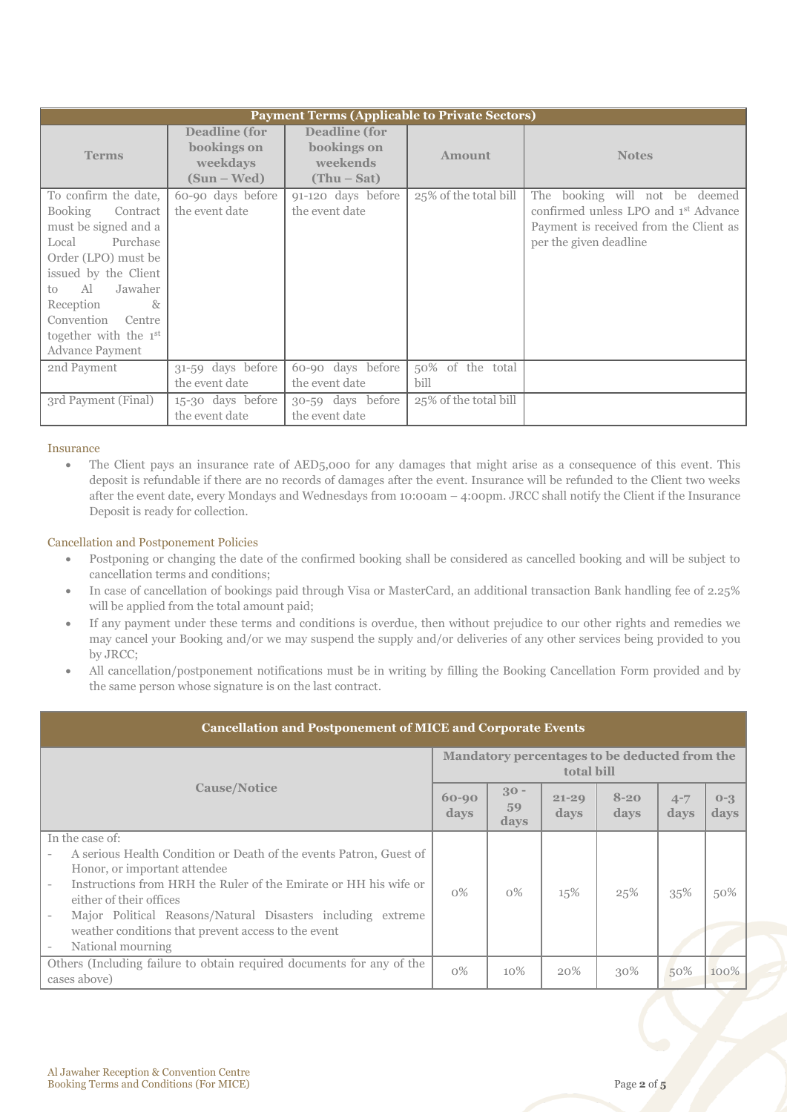| <b>Payment Terms (Applicable to Private Sectors)</b>                                                                                                                                                                                                                  |                                                                |                                                                  |                          |                                                                                                                                                        |
|-----------------------------------------------------------------------------------------------------------------------------------------------------------------------------------------------------------------------------------------------------------------------|----------------------------------------------------------------|------------------------------------------------------------------|--------------------------|--------------------------------------------------------------------------------------------------------------------------------------------------------|
| <b>Terms</b>                                                                                                                                                                                                                                                          | <b>Deadline</b> (for<br>bookings on<br>weekdays<br>(Sun – Wed) | <b>Deadline</b> (for<br>bookings on<br>weekends<br>$(Thu - Sat)$ | <b>Amount</b>            | <b>Notes</b>                                                                                                                                           |
| To confirm the date,<br>Booking<br>Contract<br>must be signed and a<br>Purchase<br>Local<br>Order (LPO) must be<br>issued by the Client<br>Jawaher<br>Al<br>to<br>8 <sub>x</sub><br>Reception<br>Convention Centre<br>together with the 1st<br><b>Advance Payment</b> | 60-90 days before<br>the event date                            | 91-120 days before<br>the event date                             | 25% of the total bill    | The booking will not be deemed<br>confirmed unless LPO and 1 <sup>st</sup> Advance<br>Payment is received from the Client as<br>per the given deadline |
| 2nd Payment                                                                                                                                                                                                                                                           | 31-59 days before<br>the event date                            | 60-90 days before<br>the event date                              | 50% of the total<br>bill |                                                                                                                                                        |
| 3rd Payment (Final)                                                                                                                                                                                                                                                   | 15-30 days before<br>the event date                            | 30-59 days before<br>the event date                              | 25% of the total bill    |                                                                                                                                                        |

## Insurance

 The Client pays an insurance rate of AED5,000 for any damages that might arise as a consequence of this event. This deposit is refundable if there are no records of damages after the event. Insurance will be refunded to the Client two weeks after the event date, every Mondays and Wednesdays from 10:00am – 4:00pm. JRCC shall notify the Client if the Insurance Deposit is ready for collection.

## Cancellation and Postponement Policies

- Postponing or changing the date of the confirmed booking shall be considered as cancelled booking and will be subject to cancellation terms and conditions;
- In case of cancellation of bookings paid through Visa or MasterCard, an additional transaction Bank handling fee of 2.25% will be applied from the total amount paid;
- If any payment under these terms and conditions is overdue, then without prejudice to our other rights and remedies we may cancel your Booking and/or we may suspend the supply and/or deliveries of any other services being provided to you by JRCC;
- All cancellation/postponement notifications must be in writing by filling the Booking Cancellation Form provided and by the same person whose signature is on the last contract.

| <b>Cancellation and Postponement of MICE and Corporate Events</b>                                                                                                                                                                                                                                                                            |       |                                                             |                   |                  |                 |                        |  |  |
|----------------------------------------------------------------------------------------------------------------------------------------------------------------------------------------------------------------------------------------------------------------------------------------------------------------------------------------------|-------|-------------------------------------------------------------|-------------------|------------------|-----------------|------------------------|--|--|
| <b>Cause/Notice</b>                                                                                                                                                                                                                                                                                                                          |       | Mandatory percentages to be deducted from the<br>total bill |                   |                  |                 |                        |  |  |
|                                                                                                                                                                                                                                                                                                                                              |       | $30 -$<br>59<br>days                                        | $21 - 29$<br>days | $8 - 20$<br>days | $4 - 7$<br>days | $0 - 3$<br><b>days</b> |  |  |
| In the case of:                                                                                                                                                                                                                                                                                                                              |       |                                                             |                   |                  |                 |                        |  |  |
| A serious Health Condition or Death of the events Patron, Guest of<br>Honor, or important attendee<br>Instructions from HRH the Ruler of the Emirate or HH his wife or<br>either of their offices<br>Major Political Reasons/Natural Disasters including extreme<br>weather conditions that prevent access to the event<br>National mourning | $0\%$ | $0\%$                                                       | 15%               | 25%              | 35%             | 50%                    |  |  |
| Others (Including failure to obtain required documents for any of the<br>cases above)                                                                                                                                                                                                                                                        |       | 10%                                                         | 20%               | 30%              | 50%             | 100%                   |  |  |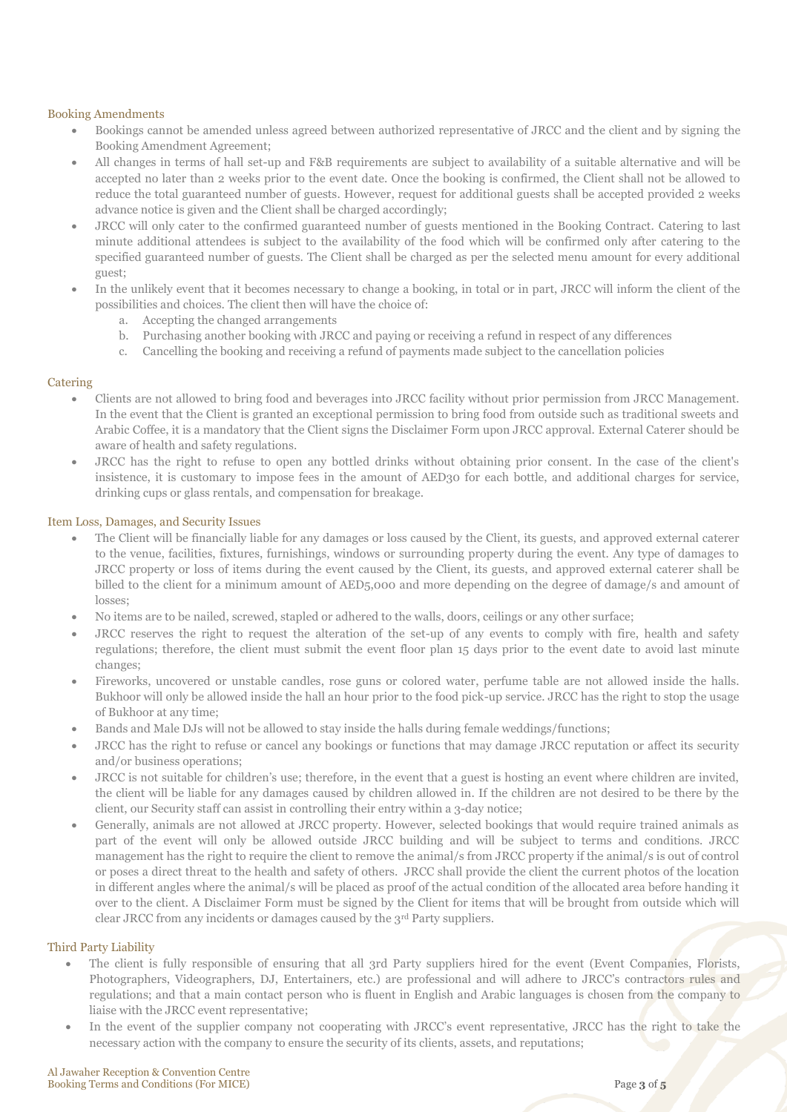### Booking Amendments

- Bookings cannot be amended unless agreed between authorized representative of JRCC and the client and by signing the Booking Amendment Agreement;
- All changes in terms of hall set-up and F&B requirements are subject to availability of a suitable alternative and will be accepted no later than 2 weeks prior to the event date. Once the booking is confirmed, the Client shall not be allowed to reduce the total guaranteed number of guests. However, request for additional guests shall be accepted provided 2 weeks advance notice is given and the Client shall be charged accordingly;
- JRCC will only cater to the confirmed guaranteed number of guests mentioned in the Booking Contract. Catering to last minute additional attendees is subject to the availability of the food which will be confirmed only after catering to the specified guaranteed number of guests. The Client shall be charged as per the selected menu amount for every additional guest;
- In the unlikely event that it becomes necessary to change a booking, in total or in part, JRCC will inform the client of the possibilities and choices. The client then will have the choice of:
	- a. Accepting the changed arrangements
	- b. Purchasing another booking with JRCC and paying or receiving a refund in respect of any differences
	- c. Cancelling the booking and receiving a refund of payments made subject to the cancellation policies

## **Catering**

- Clients are not allowed to bring food and beverages into JRCC facility without prior permission from JRCC Management. In the event that the Client is granted an exceptional permission to bring food from outside such as traditional sweets and Arabic Coffee, it is a mandatory that the Client signs the Disclaimer Form upon JRCC approval. External Caterer should be aware of health and safety regulations.
- JRCC has the right to refuse to open any bottled drinks without obtaining prior consent. In the case of the client's insistence, it is customary to impose fees in the amount of AED30 for each bottle, and additional charges for service, drinking cups or glass rentals, and compensation for breakage.

### Item Loss, Damages, and Security Issues

- The Client will be financially liable for any damages or loss caused by the Client, its guests, and approved external caterer to the venue, facilities, fixtures, furnishings, windows or surrounding property during the event. Any type of damages to JRCC property or loss of items during the event caused by the Client, its guests, and approved external caterer shall be billed to the client for a minimum amount of AED5,000 and more depending on the degree of damage/s and amount of losses;
- No items are to be nailed, screwed, stapled or adhered to the walls, doors, ceilings or any other surface;
- JRCC reserves the right to request the alteration of the set-up of any events to comply with fire, health and safety regulations; therefore, the client must submit the event floor plan 15 days prior to the event date to avoid last minute changes;
- Fireworks, uncovered or unstable candles, rose guns or colored water, perfume table are not allowed inside the halls. Bukhoor will only be allowed inside the hall an hour prior to the food pick-up service. JRCC has the right to stop the usage of Bukhoor at any time;
- Bands and Male DJs will not be allowed to stay inside the halls during female weddings/functions;
- JRCC has the right to refuse or cancel any bookings or functions that may damage JRCC reputation or affect its security and/or business operations;
- JRCC is not suitable for children's use; therefore, in the event that a guest is hosting an event where children are invited, the client will be liable for any damages caused by children allowed in. If the children are not desired to be there by the client, our Security staff can assist in controlling their entry within a 3-day notice;
- Generally, animals are not allowed at JRCC property. However, selected bookings that would require trained animals as part of the event will only be allowed outside JRCC building and will be subject to terms and conditions. JRCC management has the right to require the client to remove the animal/s from JRCC property if the animal/s is out of control or poses a direct threat to the health and safety of others. JRCC shall provide the client the current photos of the location in different angles where the animal/s will be placed as proof of the actual condition of the allocated area before handing it over to the client. A Disclaimer Form must be signed by the Client for items that will be brought from outside which will clear JRCC from any incidents or damages caused by the 3rd Party suppliers.

#### Third Party Liability

- The client is fully responsible of ensuring that all 3rd Party suppliers hired for the event (Event Companies, Florists, Photographers, Videographers, DJ, Entertainers, etc.) are professional and will adhere to JRCC's contractors rules and regulations; and that a main contact person who is fluent in English and Arabic languages is chosen from the company to liaise with the JRCC event representative;
- In the event of the supplier company not cooperating with JRCC's event representative, JRCC has the right to take the necessary action with the company to ensure the security of its clients, assets, and reputations;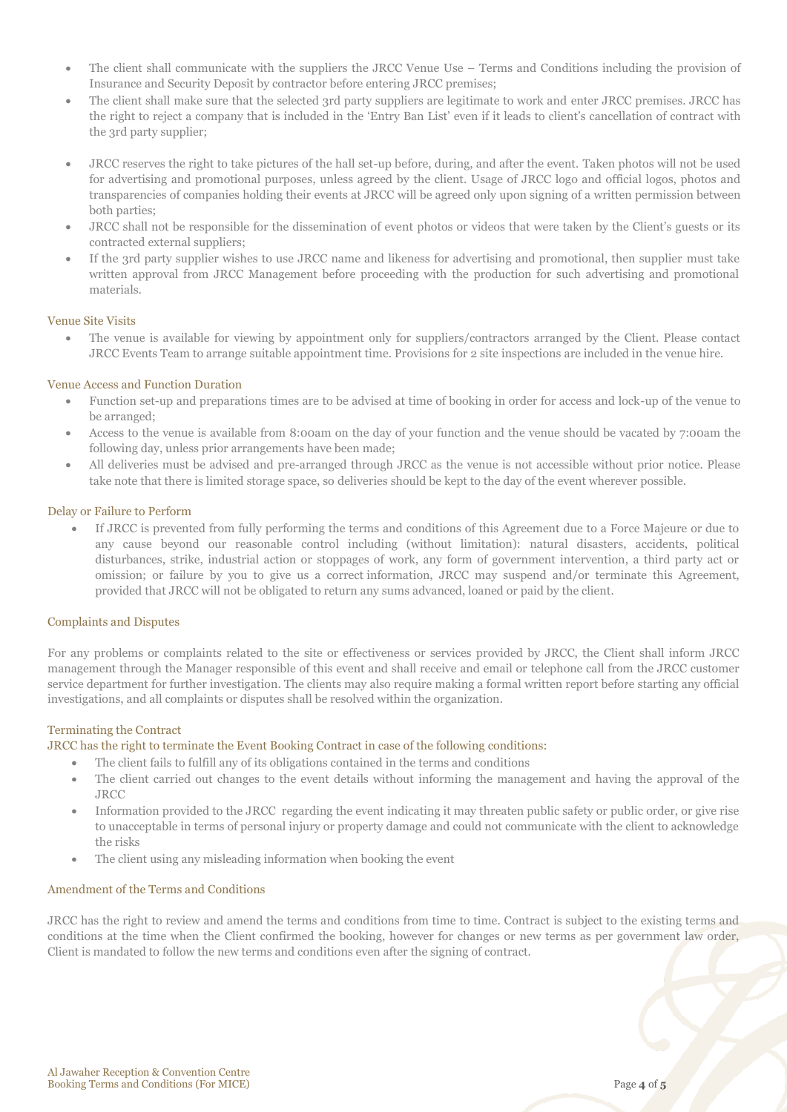- The client shall communicate with the suppliers the JRCC Venue Use Terms and Conditions including the provision of Insurance and Security Deposit by contractor before entering JRCC premises;
- The client shall make sure that the selected 3rd party suppliers are legitimate to work and enter JRCC premises. JRCC has the right to reject a company that is included in the 'Entry Ban List' even if it leads to client's cancellation of contract with the 3rd party supplier;
- JRCC reserves the right to take pictures of the hall set-up before, during, and after the event. Taken photos will not be used for advertising and promotional purposes, unless agreed by the client. Usage of JRCC logo and official logos, photos and transparencies of companies holding their events at JRCC will be agreed only upon signing of a written permission between both parties;
- JRCC shall not be responsible for the dissemination of event photos or videos that were taken by the Client's guests or its contracted external suppliers;
- If the 3rd party supplier wishes to use JRCC name and likeness for advertising and promotional, then supplier must take written approval from JRCC Management before proceeding with the production for such advertising and promotional materials.

## Venue Site Visits

 The venue is available for viewing by appointment only for suppliers/contractors arranged by the Client. Please contact JRCC Events Team to arrange suitable appointment time. Provisions for 2 site inspections are included in the venue hire.

### Venue Access and Function Duration

- Function set-up and preparations times are to be advised at time of booking in order for access and lock-up of the venue to be arranged;
- Access to the venue is available from 8:00am on the day of your function and the venue should be vacated by 7:00am the following day, unless prior arrangements have been made;
- All deliveries must be advised and pre-arranged through JRCC as the venue is not accessible without prior notice. Please take note that there is limited storage space, so deliveries should be kept to the day of the event wherever possible.

### Delay or Failure to Perform

 If JRCC is prevented from fully performing the terms and conditions of this Agreement due to a Force Majeure or due to any cause beyond our reasonable control including (without limitation): natural disasters, accidents, political disturbances, strike, industrial action or stoppages of work, any form of government intervention, a third party act or omission; or failure by you to give us a correct information, JRCC may suspend and/or terminate this Agreement, provided that JRCC will not be obligated to return any sums advanced, loaned or paid by the client.

#### Complaints and Disputes

For any problems or complaints related to the site or effectiveness or services provided by JRCC, the Client shall inform JRCC management through the Manager responsible of this event and shall receive and email or telephone call from the JRCC customer service department for further investigation. The clients may also require making a formal written report before starting any official investigations, and all complaints or disputes shall be resolved within the organization.

#### Terminating the Contract

JRCC has the right to terminate the Event Booking Contract in case of the following conditions:

- The client fails to fulfill any of its obligations contained in the terms and conditions
- The client carried out changes to the event details without informing the management and having the approval of the JRCC
- Information provided to the JRCC regarding the event indicating it may threaten public safety or public order, or give rise to unacceptable in terms of personal injury or property damage and could not communicate with the client to acknowledge the risks
- The client using any misleading information when booking the event

### Amendment of the Terms and Conditions

JRCC has the right to review and amend the terms and conditions from time to time. Contract is subject to the existing terms and conditions at the time when the Client confirmed the booking, however for changes or new terms as per government law order, Client is mandated to follow the new terms and conditions even after the signing of contract.